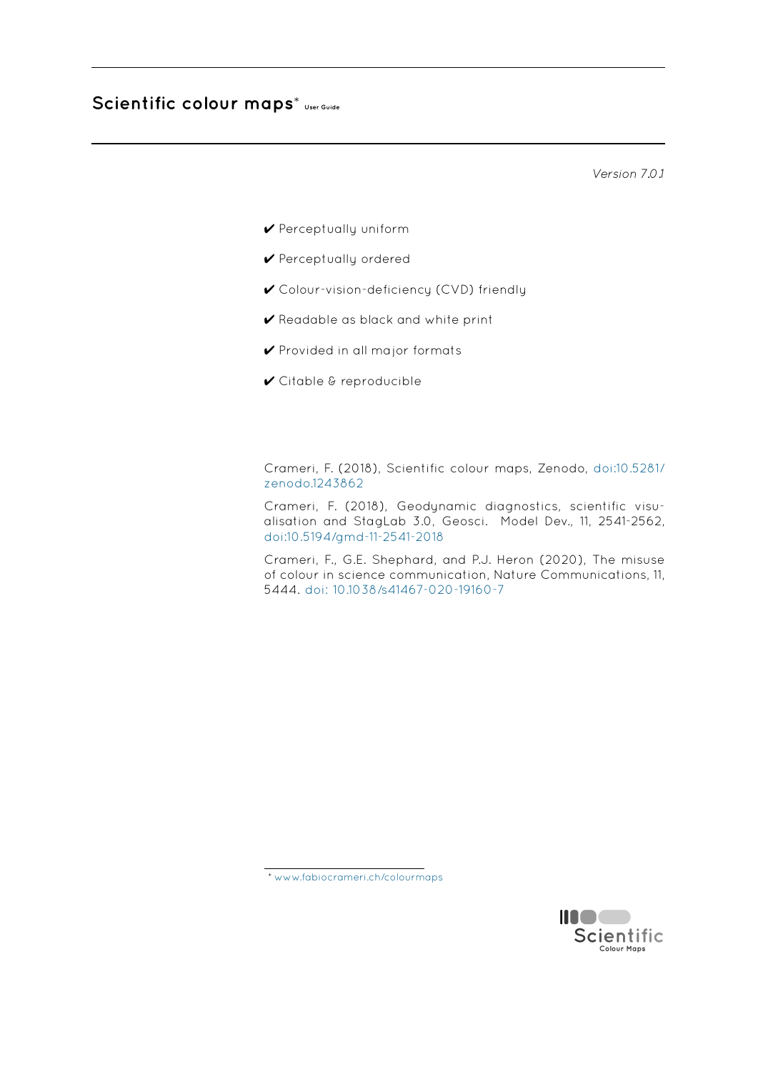# **Scientific colour maps**\* **User Guide**

*Version 7.0.1*

- ✔ Perceptually uniform
- ✔ Perceptually ordered
- ✔ Colour-vision-deficiency (CVD) friendly
- ✔ Readable as black and white print
- ✔ Provided in all major formats
- ✔ Citable & reproducible

Crameri, F. (2018), Scientific colour maps, Zenodo, doi:10.5281/ zenodo.1243862

Crameri, F. (2018), Geodynamic diagnostics, scientific visualisation and StagLab 3.0, Geosci. Model Dev., 11, 2541-2562, [doi:10.5194/gmd](http://doi.org/10.5281/zenodo.1243862)-11-2541-2018

Crameri, F., G.E. Shephard, and P.J. Heron (2020), The misuse of colour in science communication, Nature Communications, 11, 5444. doi: 10.1038/s41467-020-19160-7



<sup>\*</sup> www.fabiocrameri.ch/colourmaps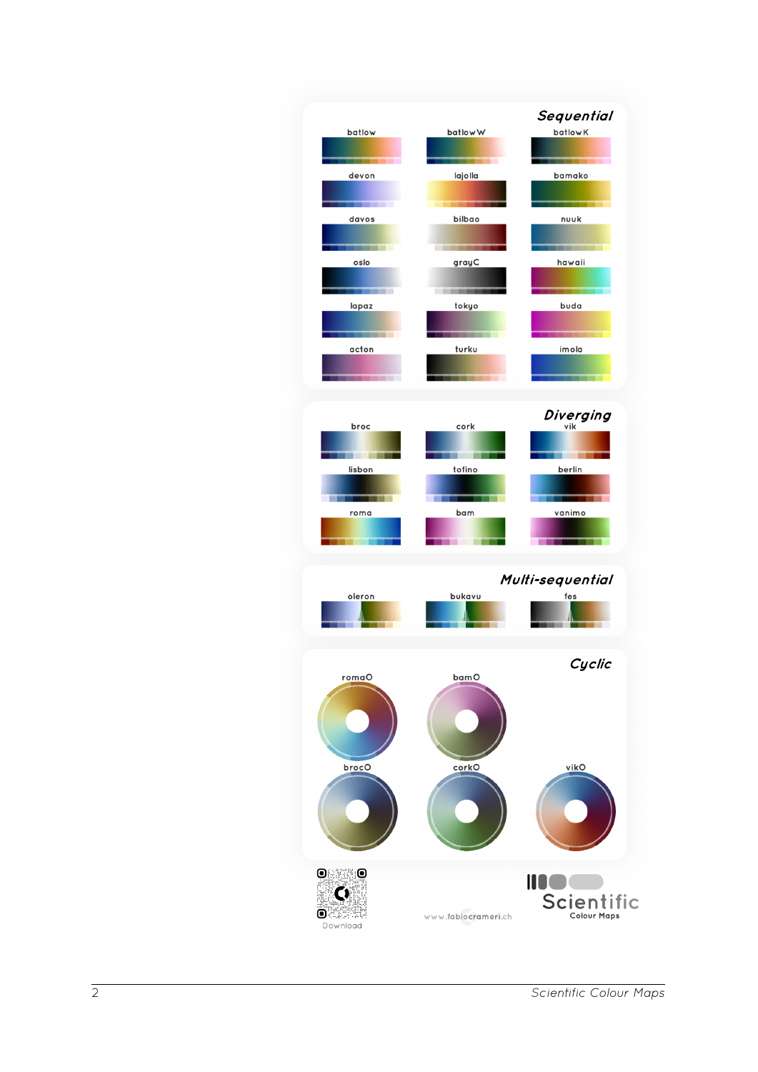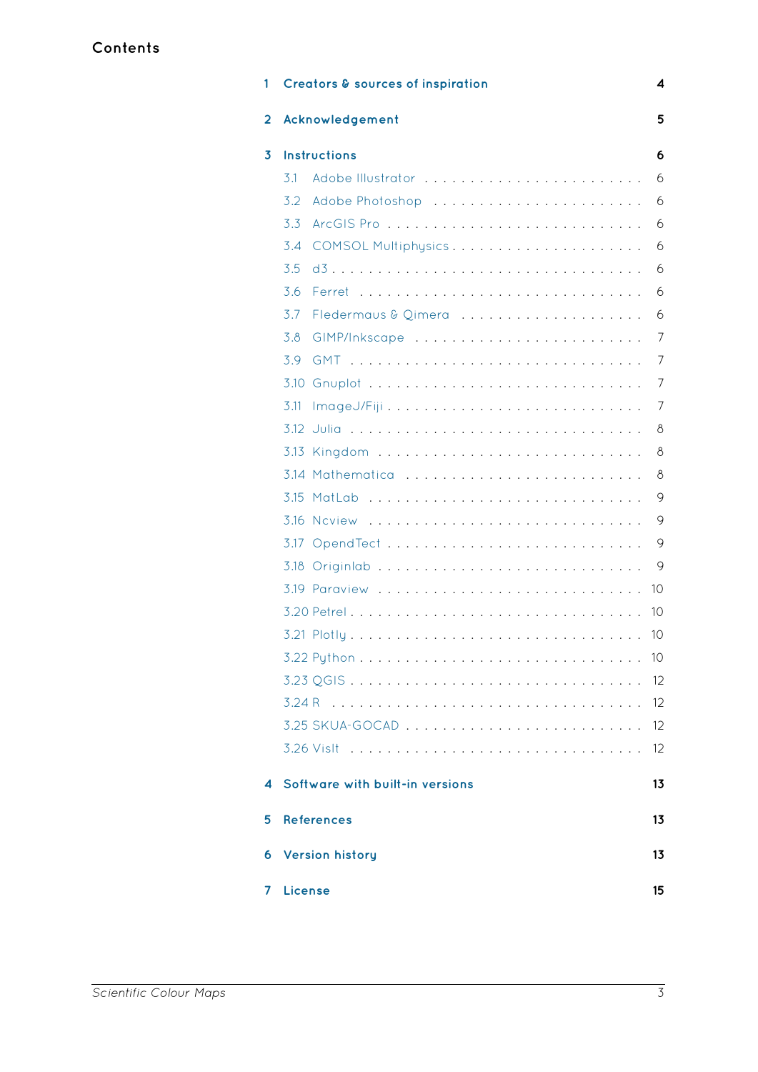| 1              | <b>Creators &amp; sources of inspiration</b> | 4  |  |
|----------------|----------------------------------------------|----|--|
| $\overline{2}$ | 5<br>Acknowledgement                         |    |  |
| 3              | <b>Instructions</b>                          | 6  |  |
|                | 3.1                                          | 6  |  |
|                | 3.2                                          | 6  |  |
|                | 3.3                                          | 6  |  |
|                | 3.4<br>COMSOL Multiphysics                   | 6  |  |
|                | 3.5                                          | 6  |  |
|                | 3.6                                          | 6  |  |
|                | 3.7                                          | 6  |  |
|                | 3.8<br>GIMP/Inkscape                         | 7  |  |
|                | 3.9                                          | 7  |  |
|                |                                              | 7  |  |
|                | 3.11                                         | 7  |  |
|                |                                              | 8  |  |
|                | 3.13                                         | 8  |  |
|                | 3.14 Mathematica                             | 8  |  |
|                | 3.15                                         | 9  |  |
|                |                                              | 9  |  |
|                | 3.17                                         | 9  |  |
|                |                                              | 9  |  |
|                |                                              | 10 |  |
|                |                                              | 10 |  |
|                |                                              | 10 |  |
|                |                                              | 10 |  |
|                |                                              | 12 |  |
|                |                                              | 12 |  |
|                |                                              | 12 |  |
|                |                                              | 12 |  |
| 4              | Software with built-in versions              | 13 |  |
| 5              | <b>References</b>                            | 13 |  |
| 6              | <b>Version history</b>                       | 13 |  |
| 7              | License                                      | 15 |  |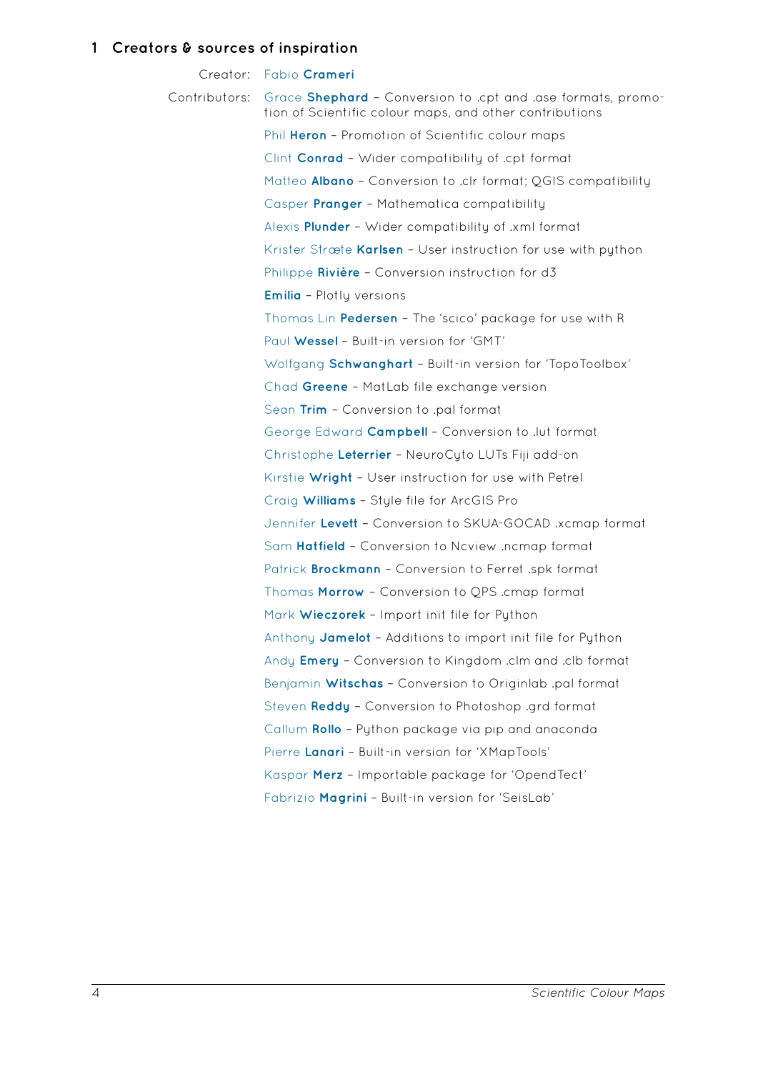<span id="page-3-0"></span>Creator: Fabio **Crameri** Contributors: Grace **Shephard** – Conversion to .cpt and .ase formats, promotion of Scientific colour maps, and other contributions Phil **[Heron](https://www.fabiocrameri.ch/contact.php)** – Promotion of Scientific colour maps Clint **[Conrad](http://www.mn.uio.no/geo/english/people/aca/ceed/gracees/)** – Wider compatibility of .cpt format Matteo **Albano** – Conversion to .clr format; QGIS compatibility [Casper](https://philheron.com) **Pranger** – Mathematica compatibility Alexis **[Plunde](http://www.mn.uio.no/geo/english/people/aca/ceed/clinton/)r** – Wider compatibility of .xml format [Krister Stræte](https://twitter.com/matteo_albano?lang=en) **Karlsen** – User instruction for use with python [Philippe](https://www.erdw.ethz.ch/en/people/profile.html?persid=205634) **Rivière** – Conversion instruction for d3 **Emilia** [– Plotly](https://sites.google.com/site/alexisplunder) versions [Thomas Lin](http://www.mn.uio.no/geo/english/people/aca/ceed/krikarls/) **Pedersen** – The 'scico' package for use with R Paul [Wessel](https://twitter.com/recifs?lang=en) - Built-in version for 'GMT' [Wolfga](https://twitter.com/mathinpython?lang=en)ng Schwanghart - Built-in version for 'TopoToolbox' Chad **[Greene](https://twitter.com/thomasp85?lang=en)** – MatLab file exchange version [Sean](http://www.soest.hawaii.edu/GG/people/gg_profile_wessel_p.html) **Trim** – Conversion to .pal format [George Edward](https://twitter.com/wschwanghart?lang=en) **Campbell** – Conversion to .lut format [Christophe](http://www.chadagreene.com) Leterrier - NeuroCyto LUTs Fiji add-on [Kirstie](http://www.seantrim.com) **Wright** – User instruction for use with Petrel Craig **Williams** [– Style file](https://twitter.com/geobellward) for ArcGIS Pro [Jennifer](https://twitter.com/christlet) Levett - Conversion to SKUA-GOCAD .xcmap format Sam **[Hatfield](http://www.rocksandwiggles.com)** – Conversion to Ncview .ncmap format Patrick **[Brockm](https://twitter.com/williamscraigm)ann** – Conversion to Ferret .spk format [Thomas](http://www.mirageoscience.com) **Morrow** – Conversion to QPS .cmap format Mark **[Wieczor](https://samhatfield.co.uk/)ek** – Import init file for Python Anthony **[Jamelot](https://github.com/PBrockmann)** – Additions to import init file for Python Andy **[Emery](https://twitter.com/thethomasmorrow)** – Conversion to Kingdom .clm and .clb format [Benjamin](http://www.oca.eu/fr/mark-wieczorek) **Witschas** – Conversion to Originlab .pal format [Steven](mailto:jamelot@labogeo.pf) **Reddy** – Conversion to Photoshop .grd format [Callum](https://twitter.com/AndyDoggerBank) **Rollo** – Python package via pip and anaconda Pierre [Lanari](https://www.dlr.de/pa/desktopdefault.aspx/tabid-2357/3477_read-19538/sortby-lastname/) - Built-in version for 'XMapTools' [Kaspar](http://www.geoscienceatomprobe.org/contact.html) **Merz** – Importable package for 'OpendTect' [Fabrizio](https://github.com/callumrollo) Magrini - Built-in version for 'SeisLab'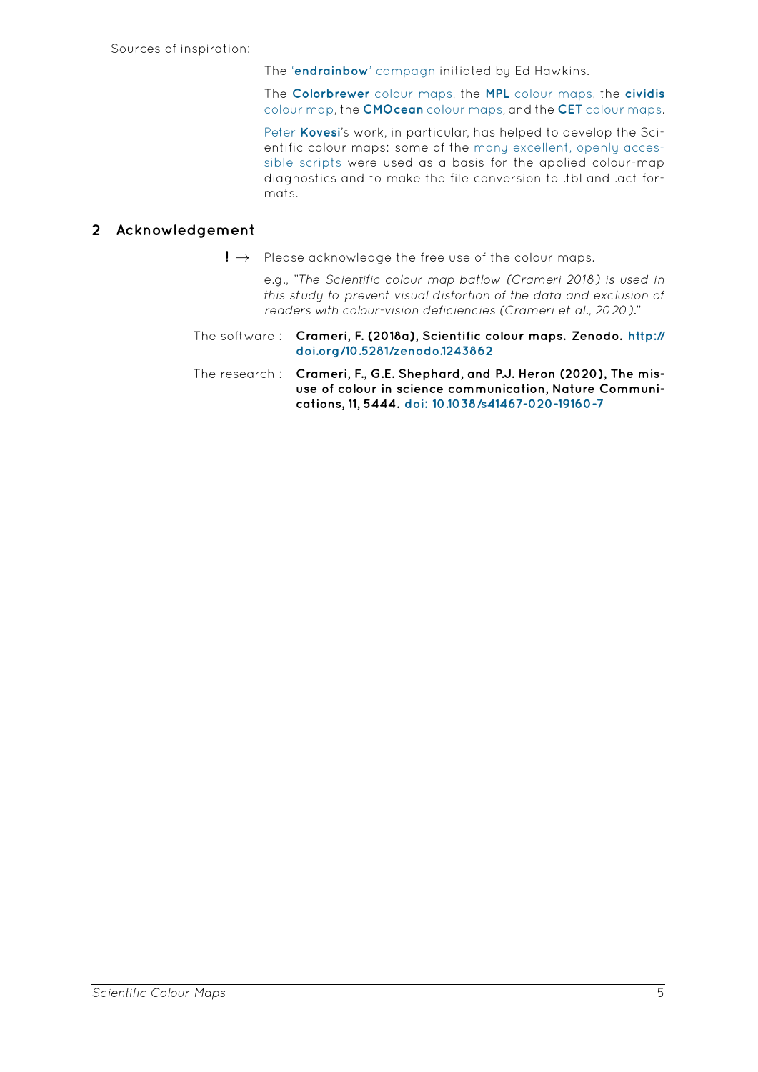The '**endrainbow**' campagn initiated by Ed Hawkins.

The **Colorbrewer** colour maps, the **MPL** colour maps, the **cividis** colour map, the **CMOcean** colour maps, and the **CET** colour maps.

Peter **Kovesi**['s work, in parti](http://www.climate-lab-book.ac.uk/2014/end-of-the-rainbow/)cular, has helped to develop the Scientific colour maps: some of the many excellent, openly accessible scripts [were used as a b](http://colorbrewer2.org)asis [for the applied](https://bids.github.io/colormap/) colour-map [diagnostics](https://doi.org/10.1371/journal.pone.0199239.s002) an[d to make the file conv](https://matplotlib.org/cmocean/)ersion t[o .tbl and .act for](https://peterkovesi.com/projects/colourmaps/)[mats.](https://www.peterkovesi.com)

# **2 Acknowledgement**

**!** *→* Please acknowledge the free use of the colour maps.

<span id="page-4-0"></span>e.g., "*The Scientific colour map batlow (Crameri 2018) is used in this study to prevent visual distortion of the data and exclusion of* readers with colour-vision deficiencies (Crameri et al., 2020)."

- The software : **Crameri, F. (2018a), Scientific colour maps. Zenodo. http:// doi.org/10.5281/zenodo.1243862**
- The research : **Crameri, F., G.E. Shephard, and P.J. Heron (2020), The misuse of colour in science communication, Nature Co[mmuni](http://doi.org/10.5281/zenodo.1243862)[cations, 11, 5444.](http://doi.org/10.5281/zenodo.1243862) doi: 10.1038/s41467-020-19160-7**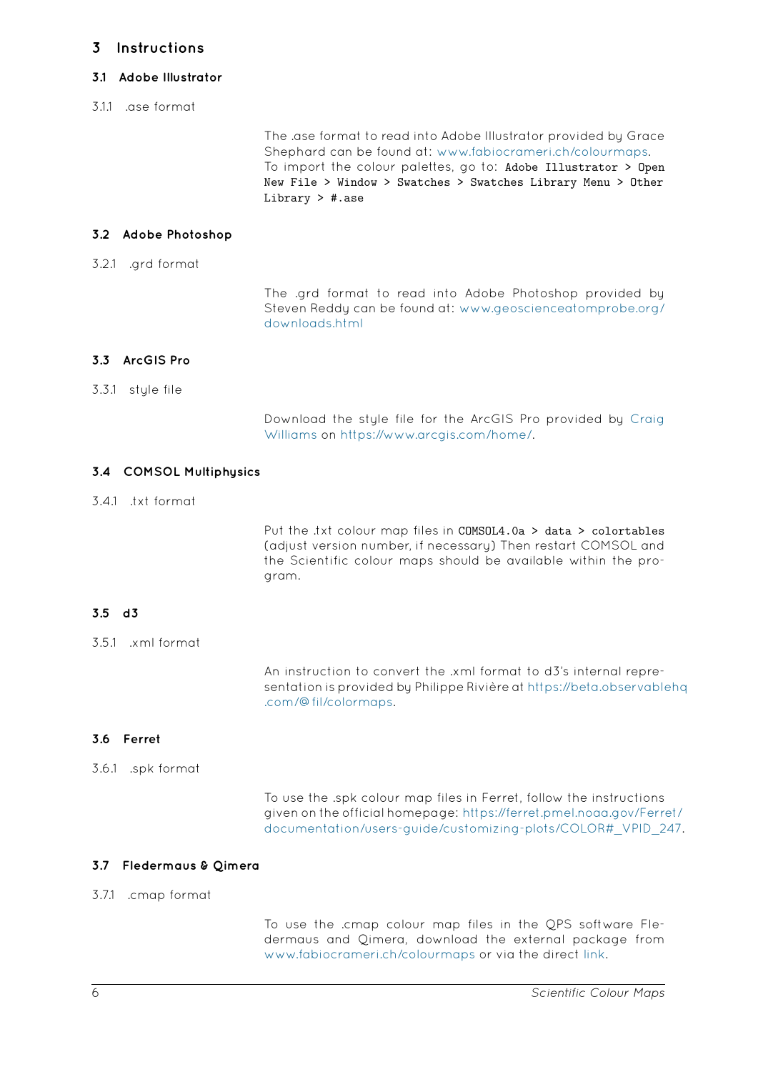#### **3.1 Adobe Illustrator**

3.1.1 .ase format

<span id="page-5-1"></span><span id="page-5-0"></span>The .ase format to read into Adobe Illustrator provided by Grace Shephard can be found at: www.fabiocrameri.ch/colourmaps. To import the colour palettes, go to: Adobe Illustrator > Open New File > Window > Swatches > Swatches Library Menu > Other Library > #.ase

# **3.2 Adobe Photoshop**

3.2.1 .grd format

<span id="page-5-2"></span>The .grd format to read into Adobe Photoshop provided by Steven Reddy can be found at: www.geoscienceatomprobe.org/ downloads.html

# **3.3 ArcGIS Pro**

## 3.3.1 style file

<span id="page-5-3"></span>Download the style file for the ArcGIS Pro provided by Craig Williams on https://www.arcgis.com/home/.

# **3.4 COMSOL Multiphysics**

# 3.4.1 .txt format

<span id="page-5-4"></span>Put the .txt colour map files in COMSOL4.0a > data > colortables (adjust version number, if necessary) Then restart COMSOL and the Scientific colour maps should be available within the program.

# **3.5 d3**

3.5.1 .xml format

<span id="page-5-5"></span>An instruction to convert the .xml format to d3's internal representation is provided by Philippe Rivière at https://beta.observablehq .com/@fil/colormaps.

# **3.6 Ferret**

## 3.6.1 .spk format

<span id="page-5-6"></span>To use the .spk colour map files in Ferret, follow the instructions given on the official homepage: https://ferret.pmel.noaa.gov/Ferret/ documentation/users-guide/customizing-plots/COLOR#\_VPID\_247.

## **3.7 Fledermaus & Qimera**

## 3.7.1 .cmap format

<span id="page-5-7"></span>To use the .cmap colour map files in the QPS software Fledermaus and Qimera, download the external package from www.fabiocrameri.ch/colourmaps or via the direct link.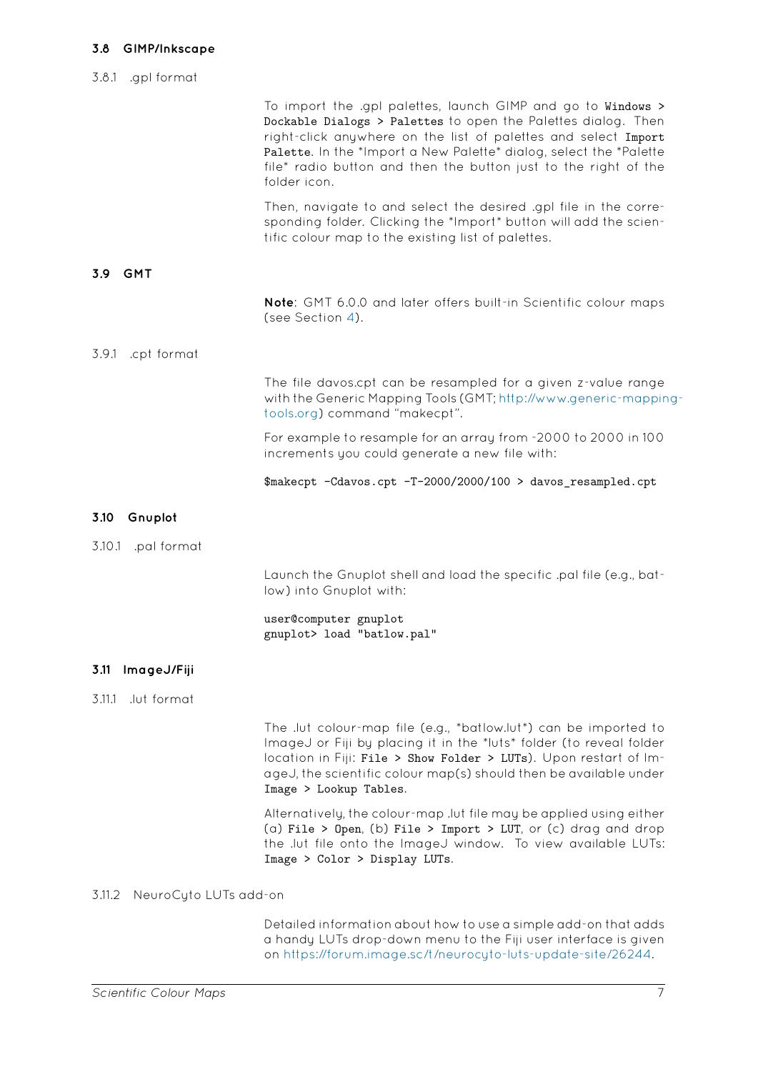<span id="page-6-1"></span><span id="page-6-0"></span>

|                                 | To import the .gpl palettes, launch GIMP and go to Windows ><br>Dockable Dialogs > Palettes to open the Palettes dialog. Then<br>right-click anywhere on the list of palettes and select Import<br>Palette. In the *Import a New Palette* dialog, select the *Palette<br>file* radio button and then the button just to the right of the<br>folder icon. |
|---------------------------------|----------------------------------------------------------------------------------------------------------------------------------------------------------------------------------------------------------------------------------------------------------------------------------------------------------------------------------------------------------|
|                                 | Then, navigate to and select the desired .gpl file in the corre-<br>sponding folder. Clicking the *Import* button will add the scien-<br>tific colour map to the existing list of palettes.                                                                                                                                                              |
| 3.9<br><b>GMT</b>               |                                                                                                                                                                                                                                                                                                                                                          |
|                                 | Note: GMT 6.0.0 and later offers built-in Scientific colour maps<br>(see Section 4).                                                                                                                                                                                                                                                                     |
| 3.9.1<br>.cpt format            |                                                                                                                                                                                                                                                                                                                                                          |
|                                 | The file davos.cpt can be resampled for a given z-value range<br>with the Generic Mapping Tools (GMT; http://www.generic-mapping-<br>tools.org) command "makecpt".                                                                                                                                                                                       |
|                                 | For example to resample for an array from -2000 to 2000 in 100<br>increments you could generate a new file with:                                                                                                                                                                                                                                         |
|                                 | \$makecpt -Cdavos.cpt -T-2000/2000/100 > davos_resampled.cpt                                                                                                                                                                                                                                                                                             |
| 3.10<br>Gnuplot                 |                                                                                                                                                                                                                                                                                                                                                          |
| 3.10.1 .pal format              |                                                                                                                                                                                                                                                                                                                                                          |
|                                 | Launch the Gnuplot shell and load the specific .pal file (e.g., bat-<br>low) into Gnuplot with:                                                                                                                                                                                                                                                          |
|                                 | user@computer gnuplot<br>gnuplot> load "batlow.pal"                                                                                                                                                                                                                                                                                                      |
| 3.11 ImageJ/Fiji                |                                                                                                                                                                                                                                                                                                                                                          |
| .lut format<br>3.11.1           |                                                                                                                                                                                                                                                                                                                                                          |
|                                 | The .lut colour-map file (e.g., *batlow.lut*) can be imported to<br>ImageJ or Fiji by placing it in the *luts* folder (to reveal folder<br>location in Fiji: File > Show Folder > LUTs). Upon restart of Im-<br>ageJ, the scientific colour map(s) should then be available under<br>Image > Lookup Tables.                                              |
|                                 | Alternatively, the colour-map .lut file may be applied using either<br>(a) File > Open, (b) File > Import > LUT, or (c) drag and drop<br>the .lut file onto the ImageJ window. To view available LUTs:<br>Image > Color > Display LUTs.                                                                                                                  |
| 3.11.2<br>NeuroCyto LUTs add-on |                                                                                                                                                                                                                                                                                                                                                          |
|                                 | Detailed information about how to use a simple add-on that adds                                                                                                                                                                                                                                                                                          |

<span id="page-6-3"></span><span id="page-6-2"></span>Detailed information about how to use a simple add-on that adds a handy LUTs drop-down menu to the Fiji user interface is given on https://forum.image.sc/t/neurocyto-luts-update-site/26244.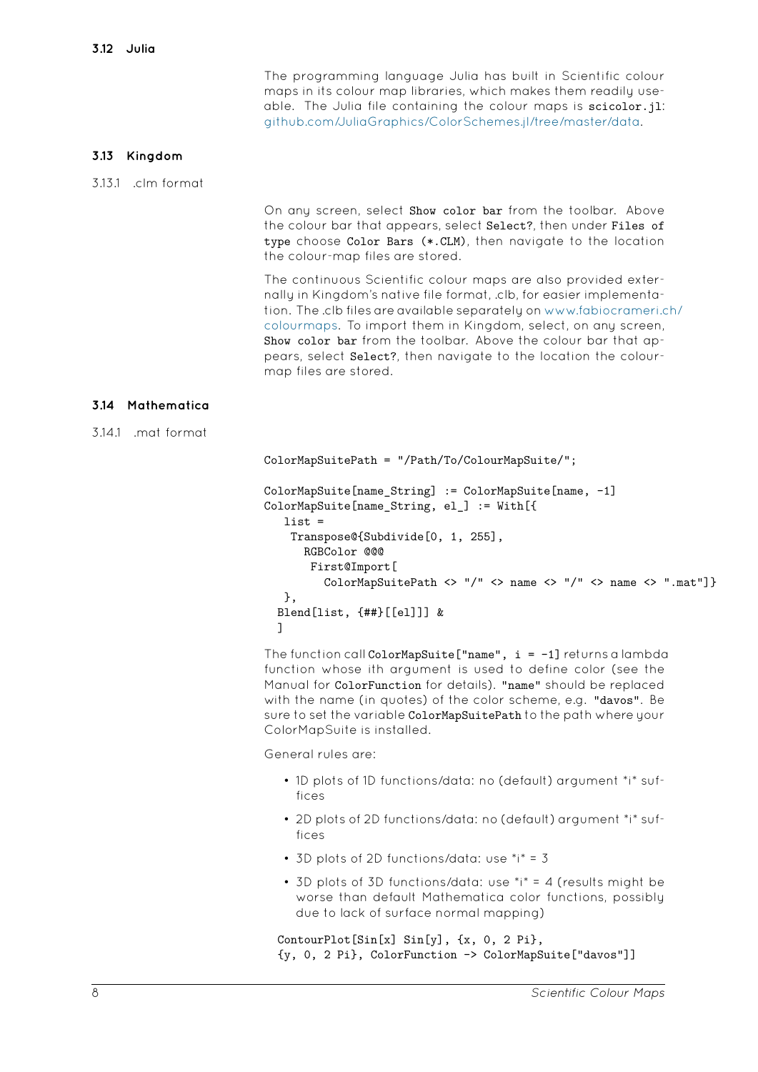<span id="page-7-0"></span>The programming language Julia has built in Scientific colour maps in its colour map libraries, which makes them readily useable. The Julia file containing the colour maps is scicolor.jl: github.com/JuliaGraphics/ColorSchemes.jl/tree/master/data.

# **3.13 Kingdom**

3.13.1 .clm format

<span id="page-7-1"></span>On any screen, select Show color bar from the toolbar. Above the colour bar that appears, select Select?, then under Files of type choose Color Bars (\*.CLM), then navigate to the location the colour-map files are stored.

The continuous Scientific colour maps are also provided externally in Kingdom's native file format, .clb, for easier implementation. The .clb files are available separately on www.fabiocrameri.ch/ colourmaps. To import them in Kingdom, select, on any screen, Show color bar from the toolbar. Above the colour bar that appears, select Select?, then navigate to the location the colourmap files are stored.

# **3.14 Mathematica**

3.14.1 .mat format

```
ColorMapSuitePath = "/Path/To/ColourMapSuite/";
ColorMapSuite[name_String] := ColorMapSuite[name, -1]
ColorMapSuite[name_String, el_] := With[{
   list =
   Transpose@{Subdivide[0, 1, 255],
      RGBColor @@@
       First@Import[
         ColorMapSuitePath <> "/" <> name <> "/" <> name <> ".mat"]}
   },
  Blend[list, {##}[[el]]] &
  ]
```
The function call ColorMapSuite<sup>["</sup>name",  $i = -1$ ] returns a lambda function whose ith argument is used to define color (see the Manual for ColorFunction for details). "name" should be replaced with the name (in quotes) of the color scheme, e.g. "davos". Be sure to set the variable ColorMapSuitePath to the path where your ColorMapSuite is installed.

General rules are:

- 1D plots of 1D functions/data: no (default) argument \*i\* suffices
- 2D plots of 2D functions/data: no (default) argument \*i\* suffices
- 3D plots of 2D functions/data: use \*i\* = 3
- 3D plots of 3D functions/data: use \*i\* = 4 (results might be worse than default Mathematica color functions, possibly due to lack of surface normal mapping)

```
ContourPlot[Sin[x] Sin[y], {x, 0, 2 Pi},
{y, 0, 2 Pi}, ColorFunction -> ColorMapSuite["davos"]]
```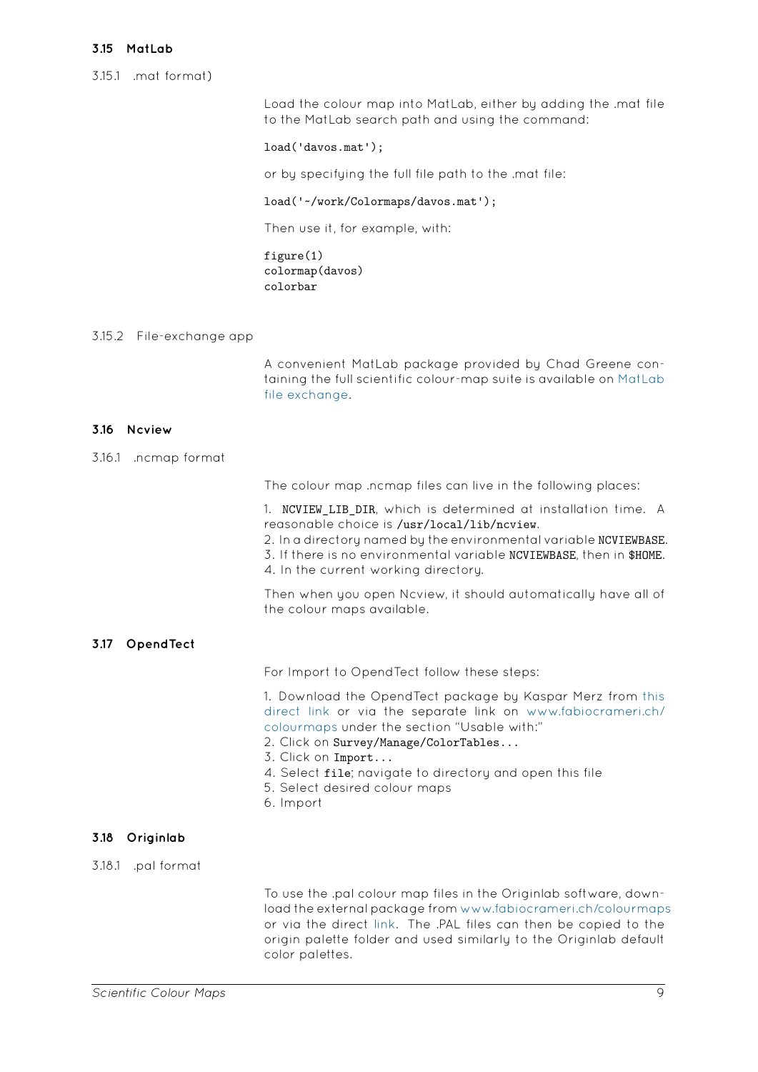#### 3.15.1 .mat format)

<span id="page-8-0"></span>Load the colour map into MatLab, either by adding the .mat file to the MatLab search path and using the command:

#### load('davos.mat');

or by specifying the full file path to the .mat file:

#### load('~/work/Colormaps/davos.mat');

Then use it, for example, with:

figure(1) colormap(davos) colorbar

## 3.15.2 File-exchange app

A convenient MatLab package provided by Chad Greene containing the full scientific colour-map suite is available on MatLab file exchange.

## **3.16 Ncview**

3.16.1 .ncmap format

<span id="page-8-1"></span>The colour map .ncmap files can live in the following places:

1. NCVIEW\_LIB\_DIR, which is determined at installation time. A reasonable choice is /usr/local/lib/ncview.

2. In a directory named by the environmental variable NCVIEWBASE.

3. If there is no environmental variable NCVIEWBASE, then in \$HOME.

4. In the current working directory.

Then when you open Ncview, it should automatically have all of the colour maps available.

## **3.17 OpendTect**

For Import to OpendTect follow these steps:

<span id="page-8-2"></span>1. Download the OpendTect package by Kaspar Merz from this direct link or via the separate link on www.fabiocrameri.ch/ colourmaps under the section "Usable with:"

- 2. Click on Survey/Manage/ColorTables...
- 3. Click on Import...
- [4. Select](https://www.fabiocrameri.ch/ws/media-library/59b423083e6f4028b3027eeb20148bbd/crameri_opendtect.txt) file; navigate to directory and [open this file](https://www.fabiocrameri.ch/colourmaps)
- [5. Select de](https://www.fabiocrameri.ch/colourmaps)sired colour maps
- 6. Import

## **3.18 Originlab**

3.18.1 .pal format

<span id="page-8-3"></span>To use the .pal colour map files in the Originlab software, download the external package from www.fabiocrameri.ch/colourmaps or via the direct link. The .PAL files can then be copied to the origin palette folder and used similarly to the Originlab default color palettes.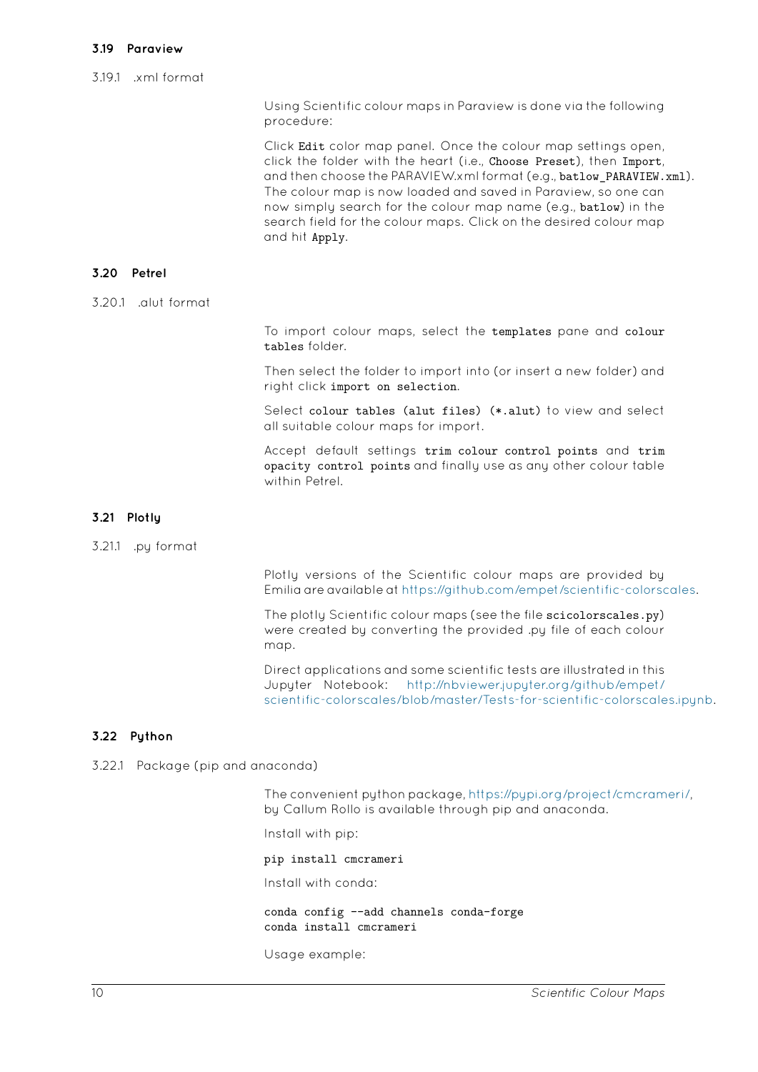<span id="page-9-0"></span>Using Scientific colour maps in Paraview is done via the following procedure:

Click Edit color map panel. Once the colour map settings open, click the folder with the heart (i.e., Choose Preset), then Import, and then choose the PARAVIEW.xml format (e.g., batlow\_PARAVIEW.xml). The colour map is now loaded and saved in Paraview, so one can now simply search for the colour map name (e.g., batlow) in the search field for the colour maps. Click on the desired colour map and hit Apply.

#### **3.20 Petrel**

3.20.1 .alut format

<span id="page-9-1"></span>To import colour maps, select the templates pane and colour tables folder.

Then select the folder to import into (or insert a new folder) and right click import on selection.

Select colour tables (alut files) (\*.alut) to view and select all suitable colour maps for import.

Accept default settings trim colour control points and trim opacity control points and finally use as any other colour table within Petrel.

## **3.21 Plotly**

3.21.1 .py format

<span id="page-9-2"></span>Plotly versions of the Scientific colour maps are provided by Emilia are available at https://github.com/empet/scientific-colorscales.

The plotly Scientific colour maps (see the file scicolorscales.py) were created by converting the provided .py file of each colour map.

Direct applications and some scientific tests are illustrated in this Jupyter Notebook: http://nbviewer.jupyter.org/github/empet/ scientific-colorscales/blob/master/Tests-for-scientific-colorscales.ipynb.

# **3.22 Python**

3.22.1 Package (pip and a[naconda\)](http://nbviewer.jupyter.org/github/empet/scientific-colorscales/blob/master/Tests-for-scientific-colorscales.ipynb)

<span id="page-9-3"></span>The convenient python package, https://pypi.org/project/cmcrameri/, by Callum Rollo is available through pip and anaconda.

Install with pip:

pip install cmcrameri

Install with conda:

conda config --add channels conda-forge conda install cmcrameri

Usage example: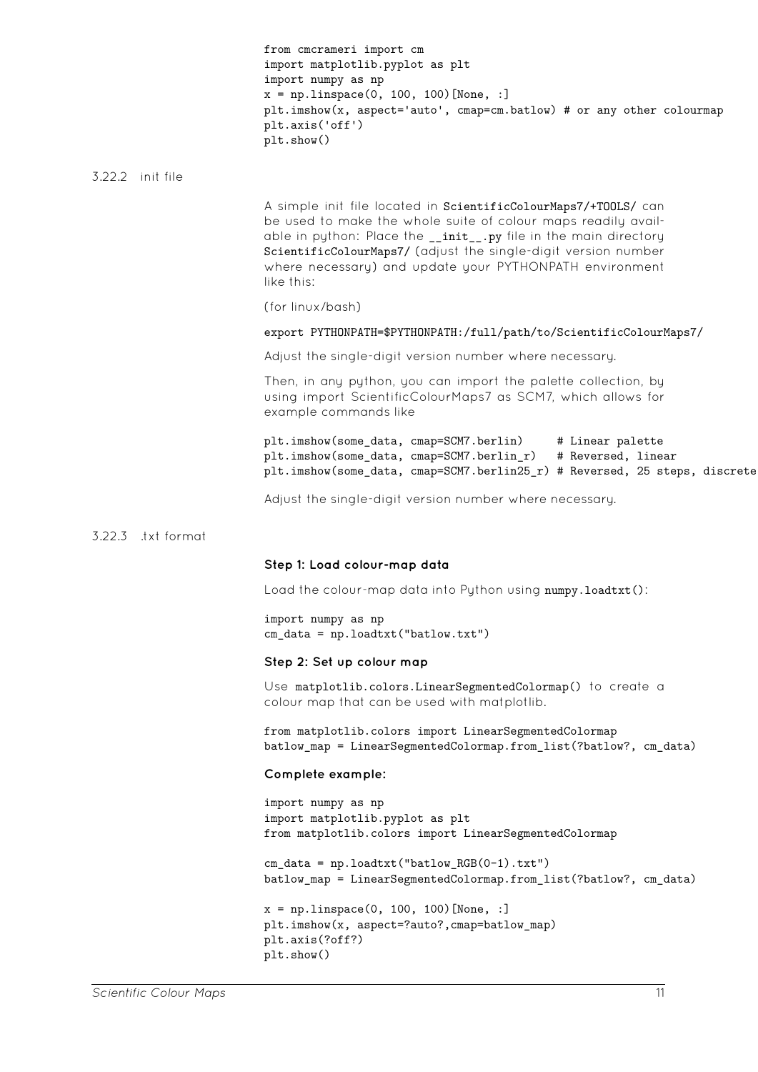|        |                  | from cmcrameri import cm<br>import matplotlib.pyplot as plt<br>import numpy as np<br>$x = npu$ inspace(0, 100, 100)[None, :]<br>plt.imshow(x, aspect='auto', cmap=cm.batlow) # or any other colourmap<br>plt.axis('off')<br>plt.show()                                                                                                          |
|--------|------------------|-------------------------------------------------------------------------------------------------------------------------------------------------------------------------------------------------------------------------------------------------------------------------------------------------------------------------------------------------|
|        | 3.22.2 init file |                                                                                                                                                                                                                                                                                                                                                 |
|        |                  | A simple init file located in ScientificColourMaps7/+TOOLS/ can<br>be used to make the whole suite of colour maps readily avail-<br>able in python: Place the __init__.py file in the main directory<br>ScientificColourMaps7/ (adjust the single-digit version number<br>where necessary) and update your PYTHONPATH environment<br>like this: |
|        |                  | (for linux/bash)                                                                                                                                                                                                                                                                                                                                |
|        |                  | export PYTHONPATH=\$PYTHONPATH:/full/path/to/ScientificColourMaps7/                                                                                                                                                                                                                                                                             |
|        |                  | Adjust the single-digit version number where necessary.                                                                                                                                                                                                                                                                                         |
|        |                  | Then, in any python, you can import the palette collection, by<br>using import ScientificColourMaps7 as SCM7, which allows for<br>example commands like                                                                                                                                                                                         |
|        |                  | plt.imshow(some_data, cmap=SCM7.berlin)<br># Linear palette<br>plt.imshow(some_data, cmap=SCM7.berlin_r)<br># Reversed, linear<br>plt.imshow(some_data, cmap=SCM7.berlin25_r) # Reversed, 25 steps, discrete                                                                                                                                    |
|        |                  | Adjust the single-digit version number where necessary.                                                                                                                                                                                                                                                                                         |
| 3.22.3 | txt format.      |                                                                                                                                                                                                                                                                                                                                                 |
|        |                  | Step 1: Load colour-map data                                                                                                                                                                                                                                                                                                                    |
|        |                  | Load the colour-map data into Python using numpy.loadtxt():                                                                                                                                                                                                                                                                                     |
|        |                  | import numpy as np<br>$cm\_data = np.loadtxt("batlow.txt")$                                                                                                                                                                                                                                                                                     |
|        |                  | Step 2: Set up colour map                                                                                                                                                                                                                                                                                                                       |
|        |                  | Use matplotlib.colors.LinearSegmentedColormap() to create a<br>colour map that can be used with matplotlib.                                                                                                                                                                                                                                     |
|        |                  | from matplotlib.colors import LinearSegmentedColormap<br>batlow_map = LinearSegmentedColormap.from_list(?batlow?, cm_data)                                                                                                                                                                                                                      |
|        |                  | Complete example:                                                                                                                                                                                                                                                                                                                               |
|        |                  | import numpy as np<br>import matplotlib.pyplot as plt<br>from matplotlib.colors import LinearSegmentedColormap                                                                                                                                                                                                                                  |
|        |                  | $cm\_data = np.loadtxt("batlow_RGB(0-1).txt")$<br>batlow_map = LinearSegmentedColormap.from_list(?batlow?, cm_data)                                                                                                                                                                                                                             |
|        |                  | $x = npu$ . linspace(0, 100, 100) [None, :]<br>plt.imshow(x, aspect=?auto?, cmap=batlow_map)<br>plt.axis(?off?)<br>plt.show()                                                                                                                                                                                                                   |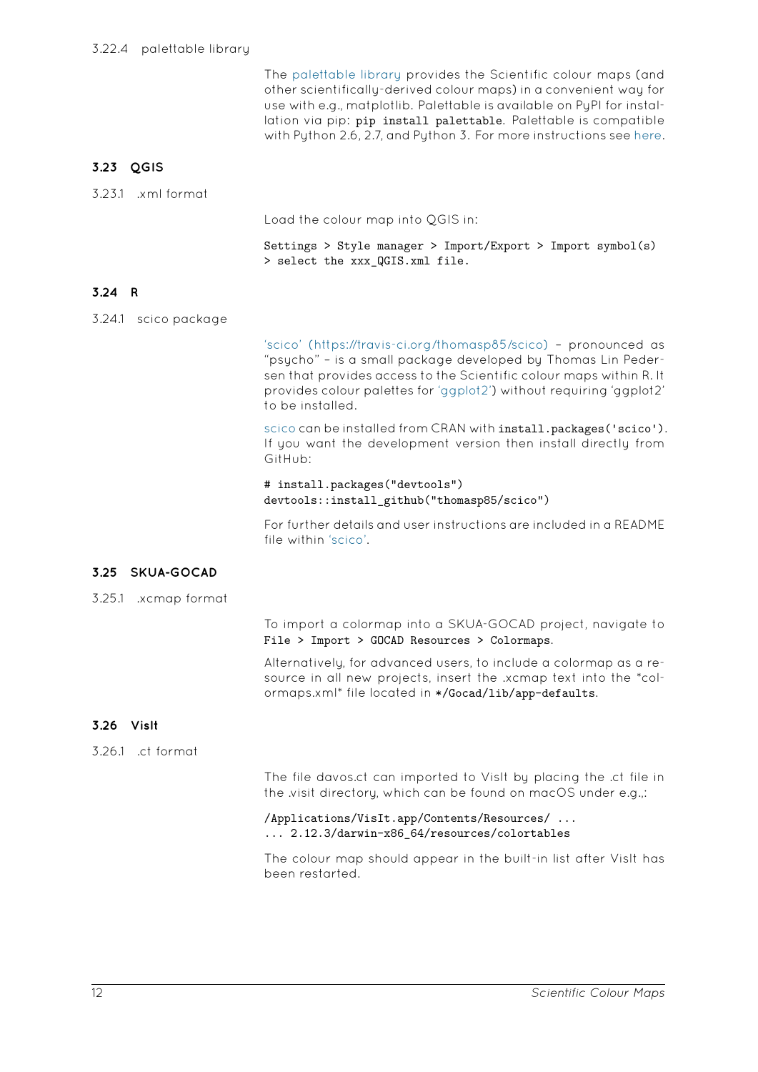The palettable library provides the Scientific colour maps (and other scientifically-derived colour maps) in a convenient way for use with e.g., matplotlib. Palettable is available on PyPI for installation via pip: pip install palettable. Palettable is compatible with [Python 2.6, 2.7, and](https://github.com/jiffyclub/palettable) Python 3. For more instructions see here.

# **3.23 QGIS**

|  | 3.23.1 .xml format |
|--|--------------------|
|  |                    |

<span id="page-11-0"></span>Load the colour map into QGIS in:

Settings > Style manager > Import/Export > Import symbol(s) > select the xxx\_QGIS.xml file.

# **3.24 R**

3.24.1 scico package

'scico' (https://travis-ci.org/thomasp85/scico) - pronounced as "psycho" – is a small package developed by Thomas Lin Pedersen that provides access to the Scientific colour maps within R. It provides colour palettes for 'ggplot2') without requiring 'ggplot2' [to be installed.](https://travis-ci.org/thomasp85/scico)

scico can be installed from CRAN with install.packages ('scico'). If you want the developme[nt versio](https://github.com/tidyverse/ggplot2)n then install directly from GitHub:

# install.packages("devtools") [devto](https://travis-ci.org/thomasp85/scico)ols::install\_github("thomasp85/scico")

For further details and user instructions are included in a README file within 'scico'.

## **3.25 SKUA-GOCAD**

3.25.1 .xcmap format

<span id="page-11-1"></span>To import a colormap into a SKUA-GOCAD project, navigate to File > Import > GOCAD Resources > Colormaps.

Alternatively, for advanced users, to include a colormap as a resource in all new projects, insert the .xcmap text into the \*colormaps.xml\* file located in \*/Gocad/lib/app-defaults.

# **3.26 VisIt**

3.26.1 .ct format

<span id="page-11-2"></span>The file davos.ct can imported to VisIt by placing the .ct file in the .visit directory, which can be found on macOS under e.g.,:

/Applications/VisIt.app/Contents/Resources/ ... ... 2.12.3/darwin-x86\_64/resources/colortables

The colour map should appear in the built-in list after VisIt has been restarted.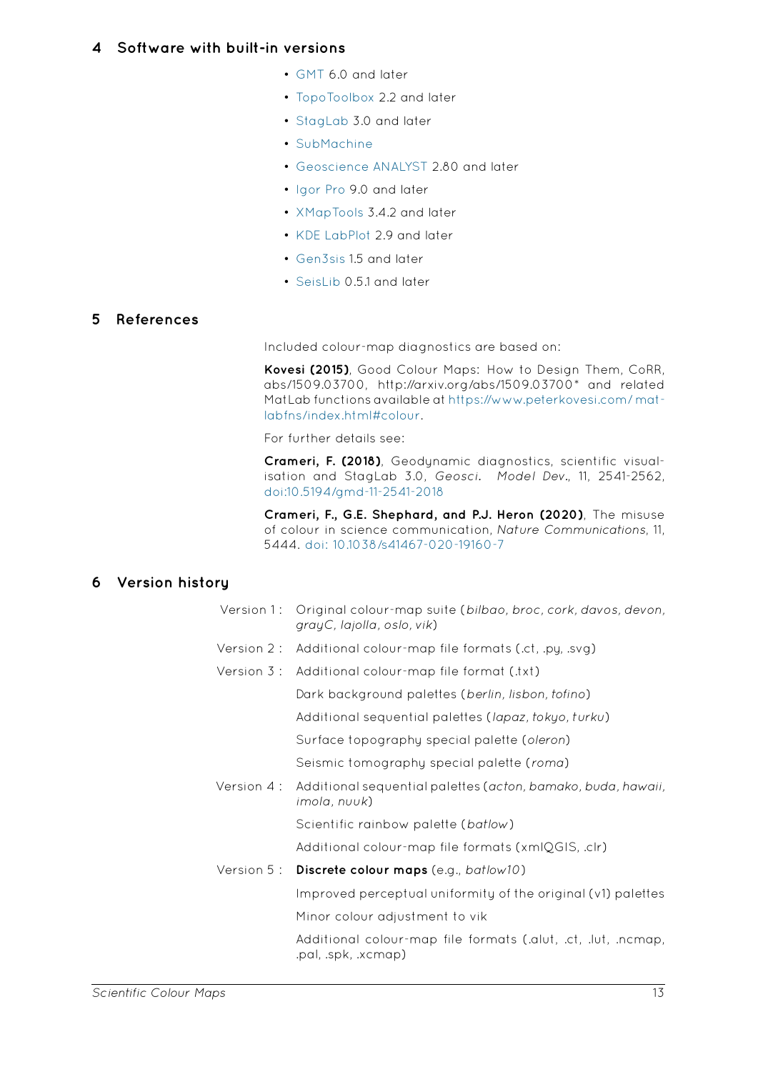- GMT 6.0 and later
- TopoToolbox 2.2 and later
- <span id="page-12-0"></span>• StagLab 3.0 and later
- [SubM](https://docs.generic-mapping-tools.org/latest/cookbook/cpts.html)achine
- [Geoscience A](https://topotoolbox.wordpress.com/2018/08/13/overview-of-scientific-colormaps/)NALYST 2.80 and later
- [Igor Pro](https://www.fabiocrameri.ch/staglab.php) 9.0 and later
- [XMapTools](https://www.earth.ox.ac.uk/~smachine/cgi/index.php) 3.4.2 and later
- [KDE LabPlot](http://www.mirageoscience.com/our-products/software-product/geoscience-analyst) 2.9 and later
- [Gen3sis](https://www.wavemetrics.com/products/igorpro) 1.5 and later
- [SeisLib](https://www.xmaptools.com/additional-tools-files/) 0.5.1 and later

# **5 References**

Inclu[ded colo](https://seislib.readthedocs.io/en/latest/seislib.colormaps.html)ur-map diagnostics are based on:

<span id="page-12-1"></span>**Kovesi (2015)**, Good Colour Maps: How to Design Them, CoRR, abs/1509.03700, http://arxiv.org/abs/1509.03700\* and related MatLab functions available at https://www.peterkovesi.com/ matlabfns/index.html#colour.

For further details see:

**Crameri, F. (2018)**, Geodyn[amic diagnostics, scientific visual](https://www.peterkovesi.com/matlabfns/index.html#colour)[isation and StagLab 3.0](https://www.peterkovesi.com/matlabfns/index.html#colour), *Geosci. Model Dev.*, 11, 2541-2562, doi:10.5194/gmd-11-2541-2018

**Crameri, F., G.E. Shephard, and P.J. Heron (2020)**, The misuse of colour in science communication, *Nature Communications*, 11, 5444. doi: 10.1038/s41467-020-19160-7

# **6 Version history**

| Version 1 : | Original colour-map suite (bilbao, broc, cork, davos, devon,<br>grayC, lajolla, oslo, vik) |
|-------------|--------------------------------------------------------------------------------------------|
| Version 2 : | Additional colour-map file formats (.ct, .py, .svg)                                        |
| Version 3 : | Additional colour-map file format (.txt)                                                   |
|             | Dark background palettes (berlin, lisbon, tofino)                                          |
|             | Additional sequential palettes (lapaz, tokyo, turku)                                       |
|             | Surface topography special palette (oleron)                                                |
|             | Seismic tomography special palette (roma)                                                  |
| Version 4 : | Additional sequential palettes (acton, bamako, buda, hawaii,<br>imola, nuuk)               |
|             | Scientific rainbow palette (batlow)                                                        |
|             | Additional colour-map file formats (xmlQGIS, .clr)                                         |
|             | Version 5: Discrete colour maps (e.g., batlow10)                                           |
|             | Improved perceptual uniformity of the original (v1) palettes                               |
|             | Minor colour adjustment to vik                                                             |
|             | Additional colour-map file formats (.alut, .ct, .lut, .ncmap,<br>.pal, .spk, .xcmap)       |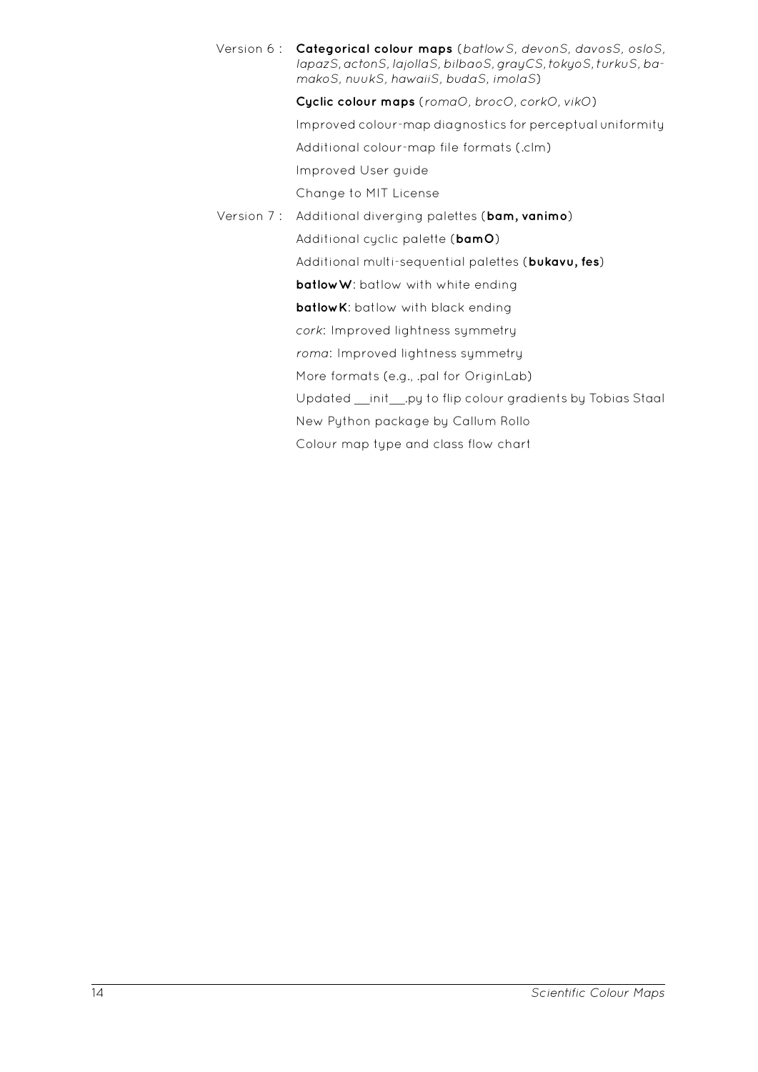Version 6 : **Categorical colour maps** (*batlowS, devonS, davosS, osloS, lapazS, actonS, lajollaS, bilbaoS, grayCS, tokyoS, turkuS, bamakoS, nuukS, hawaiiS, budaS, imolaS*) **Cyclic colour maps** (*romaO, brocO, corkO, vikO*) Improved colour-map diagnostics for perceptual uniformity Additional colour-map file formats (.clm) Improved User guide

Change to MIT License

Version 7 : Additional diverging palettes (**bam, vanimo**) Additional cyclic palette (**bamO**) Additional multisequential palettes (**bukavu, fes**) **batlowW**: batlow with white ending **batlowK**: batlow with black ending *cork*: Improved lightness symmetry *roma*: Improved lightness symmetry More formats (e.g., .pal for OriginLab) Updated \_\_init\_\_.py to flip colour gradients by Tobias Staal New Python package by Callum Rollo

Colour map type and class flow chart

14 *Scientific Colour Maps*